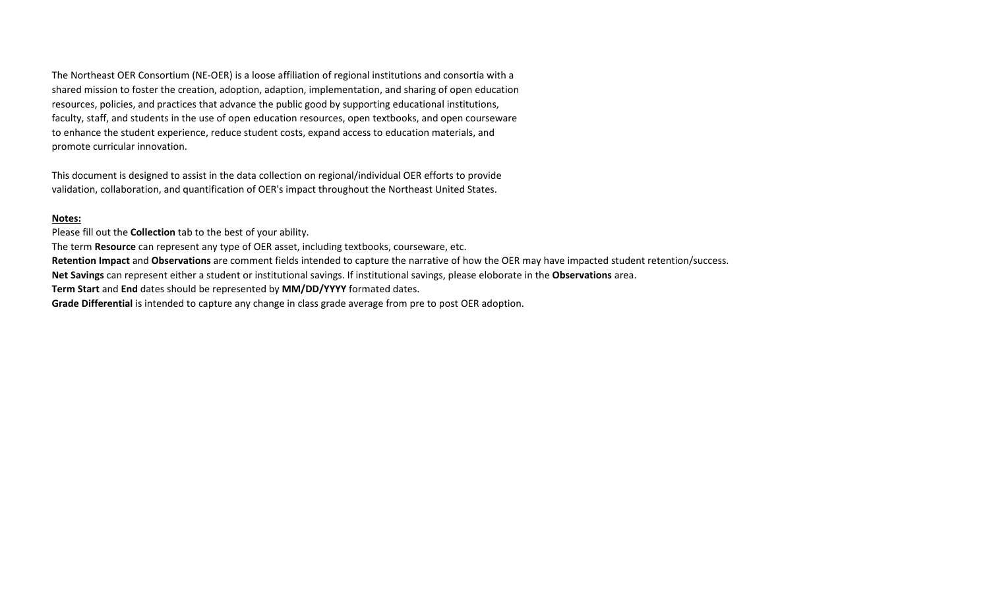The Northeast OER Consortium (NE-OER) is a loose affiliation of regional institutions and consortia with a shared mission to foster the creation, adoption, adaption, implementation, and sharing of open education resources, policies, and practices that advance the public good by supporting educational institutions, faculty, staff, and students in the use of open education resources, open textbooks, and open courseware to enhance the student experience, reduce student costs, expand access to education materials, and promote curricular innovation.

This document is designed to assist in the data collection on regional/individual OER efforts to provide validation, collaboration, and quantification of OER's impact throughout the Northeast United States.

## **Notes:**

Please fill out the **Collection** tab to the best of your ability.

The term **Resource** can represent any type of OER asset, including textbooks, courseware, etc.

**Retention Impact** and **Observations** are comment fields intended to capture the narrative of how the OER may have impacted student retention/success.

**Net Savings** can represent either a student or institutional savings. If institutional savings, please eloborate in the **Observations** area.

**Term Start** and **End** dates should be represented by **MM/DD/YYYY** formated dates.

**Grade Differential** is intended to capture any change in class grade average from pre to post OER adoption.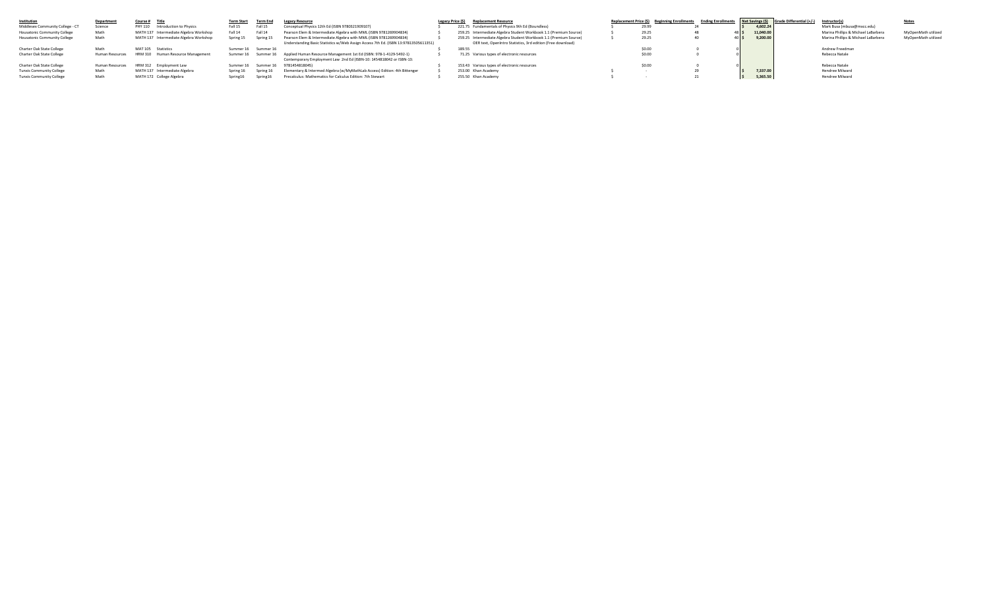| Institution                      | <b>Department</b> | Course # Title                                    |           |                     | <b>Legacy Resource</b>                                                                 | Legacy Price (\$) | <b>Replacement Resource</b>                                       | Replacement Price (\$) Beginning Enrollments | <b>Ending Enrollments</b> |           | Net Savings (\$) Grade Differential (+/-) Instructor(s) |                                     |                     |
|----------------------------------|-------------------|---------------------------------------------------|-----------|---------------------|----------------------------------------------------------------------------------------|-------------------|-------------------------------------------------------------------|----------------------------------------------|---------------------------|-----------|---------------------------------------------------------|-------------------------------------|---------------------|
| Middlesex Community College - CT | Science           | PHY 110 Introduction to Physics                   | Fall 15   | Fall 15             | Conceptual Physics 12th Ed (ISBN 9780321909107)                                        |                   | 221.75 Fundamentals of Physics 9th Ed (Boundless)                 |                                              |                           | 4.602.24  |                                                         | Mark Busa (mbusa@mxcc.edu)          |                     |
| Housatonic Community College     | Math              | MATH 137 Intermediate Algebra Workshop            | Fall 14   | Fall 14             | Pearson Elem & Intermediate Algebra with MML (ISBN 9781269904834)                      |                   | 259.25 Intermediate Algebra Student Workbook 1.1 (Premium Source) | 29.25                                        |                           | 11.040.00 |                                                         | Marina Phillips & Michael LaBarbera | MyOpenMath utilized |
| Housatonic Community College     | Math              | MATH 137 Intermediate Algebra Workshop            | Spring 15 | Spring 15           | Pearson Elem & Intermediate Algebra with MML (ISBN 9781269904834)                      |                   | 259.25 Intermediate Algebra Student Workbook 1.1 (Premium Source) | 29.25                                        |                           | 9.200.00  |                                                         | Marina Phillips & Michael LaBarbera | MyOpenMath utilized |
|                                  |                   |                                                   |           |                     | Understanding Basic Statistics w/Web Assign Access 7th Ed. (ISBN 13:97813505611351)    |                   | OER text, OpenIntro Statistics, 3rd edition (Free download)       |                                              |                           |           |                                                         |                                     |                     |
| Charter Oak State College        | Math              | MAT 105 Statistics                                |           | Summer 16 Summer 16 |                                                                                        |                   | 189.55                                                            |                                              |                           |           |                                                         | Andrew Freedman                     |                     |
| <b>Charter Oak State College</b> |                   | Human Resources HRM 310 Human Resource Management |           |                     | Summer 16 Summer 16 Applied Human Resource Management 1st Ed (ISBN: 978-1-4129-5492-1) |                   | 71.25 Various types of electronic resources                       |                                              |                           |           |                                                         | Rebecca Natale                      |                     |
|                                  |                   |                                                   |           |                     | Contemporary Employment Law 2nd Ed (ISBN-10: 1454818042 or ISBN-13:                    |                   |                                                                   |                                              |                           |           |                                                         |                                     |                     |
| Charter Oak State College        | Human Resources   | HRM 312 Employment Law                            | Summer 16 |                     | Summer 16 9781454818045)                                                               |                   | 153.43 Various types of electronic resources                      |                                              |                           |           |                                                         | Rebecca Natale                      |                     |
| <b>Tunxis Community College</b>  | Math              | MATH 137 Intermediate Algebra                     | Spring 16 | Spring 16           | Elementary & Intermed Algebra (w/MyMathLab Access) Edition: 4th Bittenger              |                   | 253.00 Khan Academy                                               |                                              |                           | 7.337.00  |                                                         | Hendree Milward                     |                     |
| <b>Tunxis Community College</b>  | Math              | MATH 172 College Algebra                          | Spring16  | Spring16            | Precalculus: Mathematics for Calculus Edition: 7th Stewart                             |                   | 255.50 Khan Academy                                               |                                              |                           | 5,365.50  |                                                         | Hendree Milward                     |                     |
|                                  |                   |                                                   |           |                     |                                                                                        |                   |                                                                   |                                              |                           |           |                                                         |                                     |                     |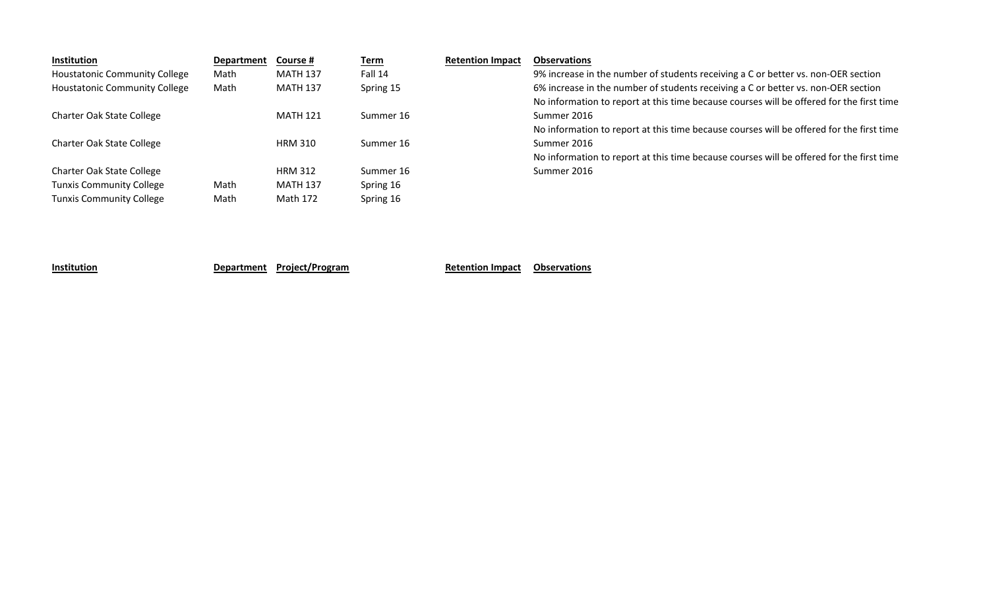| Institution                          | <b>Department</b> | Course #        | <u>Term</u> | <b>Retention Impact</b> | <b>Observations</b>                                                                      |
|--------------------------------------|-------------------|-----------------|-------------|-------------------------|------------------------------------------------------------------------------------------|
| <b>Houstatonic Community College</b> | Math              | <b>MATH 137</b> | Fall 14     |                         | 9% increase in the number of students receiving a C or better vs. non-OER section        |
| <b>Houstatonic Community College</b> | Math              | <b>MATH 137</b> | Spring 15   |                         | 6% increase in the number of students receiving a C or better vs. non-OER section        |
|                                      |                   |                 |             |                         | No information to report at this time because courses will be offered for the first time |
| Charter Oak State College            |                   | <b>MATH 121</b> | Summer 16   |                         | Summer 2016                                                                              |
|                                      |                   |                 |             |                         | No information to report at this time because courses will be offered for the first time |
| Charter Oak State College            |                   | <b>HRM 310</b>  | Summer 16   |                         | Summer 2016                                                                              |
|                                      |                   |                 |             |                         | No information to report at this time because courses will be offered for the first time |
| Charter Oak State College            |                   | <b>HRM 312</b>  | Summer 16   |                         | Summer 2016                                                                              |
| <b>Tunxis Community College</b>      | Math              | <b>MATH 137</b> | Spring 16   |                         |                                                                                          |
| <b>Tunxis Community College</b>      | Math              | Math 172        | Spring 16   |                         |                                                                                          |

**Institution Department Project/Program Retention Impact Observations**